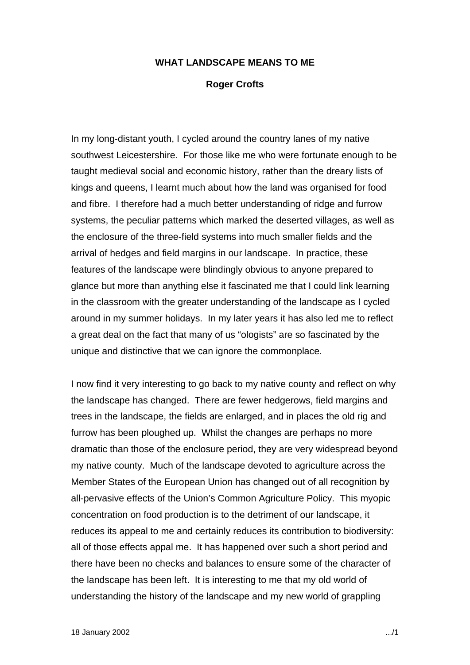## **WHAT LANDSCAPE MEANS TO ME**

## **Roger Crofts**

In my long-distant youth, I cycled around the country lanes of my native southwest Leicestershire. For those like me who were fortunate enough to be taught medieval social and economic history, rather than the dreary lists of kings and queens, I learnt much about how the land was organised for food and fibre. I therefore had a much better understanding of ridge and furrow systems, the peculiar patterns which marked the deserted villages, as well as the enclosure of the three-field systems into much smaller fields and the arrival of hedges and field margins in our landscape. In practice, these features of the landscape were blindingly obvious to anyone prepared to glance but more than anything else it fascinated me that I could link learning in the classroom with the greater understanding of the landscape as I cycled around in my summer holidays. In my later years it has also led me to reflect a great deal on the fact that many of us "ologists" are so fascinated by the unique and distinctive that we can ignore the commonplace.

I now find it very interesting to go back to my native county and reflect on why the landscape has changed. There are fewer hedgerows, field margins and trees in the landscape, the fields are enlarged, and in places the old rig and furrow has been ploughed up. Whilst the changes are perhaps no more dramatic than those of the enclosure period, they are very widespread beyond my native county. Much of the landscape devoted to agriculture across the Member States of the European Union has changed out of all recognition by all-pervasive effects of the Union's Common Agriculture Policy. This myopic concentration on food production is to the detriment of our landscape, it reduces its appeal to me and certainly reduces its contribution to biodiversity: all of those effects appal me. It has happened over such a short period and there have been no checks and balances to ensure some of the character of the landscape has been left. It is interesting to me that my old world of understanding the history of the landscape and my new world of grappling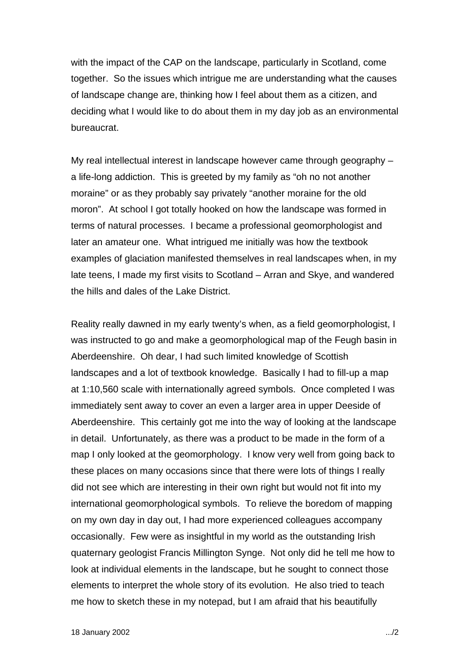with the impact of the CAP on the landscape, particularly in Scotland, come together. So the issues which intrigue me are understanding what the causes of landscape change are, thinking how I feel about them as a citizen, and deciding what I would like to do about them in my day job as an environmental bureaucrat.

My real intellectual interest in landscape however came through geography – a life-long addiction. This is greeted by my family as "oh no not another moraine" or as they probably say privately "another moraine for the old moron". At school I got totally hooked on how the landscape was formed in terms of natural processes. I became a professional geomorphologist and later an amateur one. What intrigued me initially was how the textbook examples of glaciation manifested themselves in real landscapes when, in my late teens, I made my first visits to Scotland – Arran and Skye, and wandered the hills and dales of the Lake District.

Reality really dawned in my early twenty's when, as a field geomorphologist, I was instructed to go and make a geomorphological map of the Feugh basin in Aberdeenshire. Oh dear, I had such limited knowledge of Scottish landscapes and a lot of textbook knowledge. Basically I had to fill-up a map at 1:10,560 scale with internationally agreed symbols. Once completed I was immediately sent away to cover an even a larger area in upper Deeside of Aberdeenshire. This certainly got me into the way of looking at the landscape in detail. Unfortunately, as there was a product to be made in the form of a map I only looked at the geomorphology. I know very well from going back to these places on many occasions since that there were lots of things I really did not see which are interesting in their own right but would not fit into my international geomorphological symbols. To relieve the boredom of mapping on my own day in day out, I had more experienced colleagues accompany occasionally. Few were as insightful in my world as the outstanding Irish quaternary geologist Francis Millington Synge. Not only did he tell me how to look at individual elements in the landscape, but he sought to connect those elements to interpret the whole story of its evolution. He also tried to teach me how to sketch these in my notepad, but I am afraid that his beautifully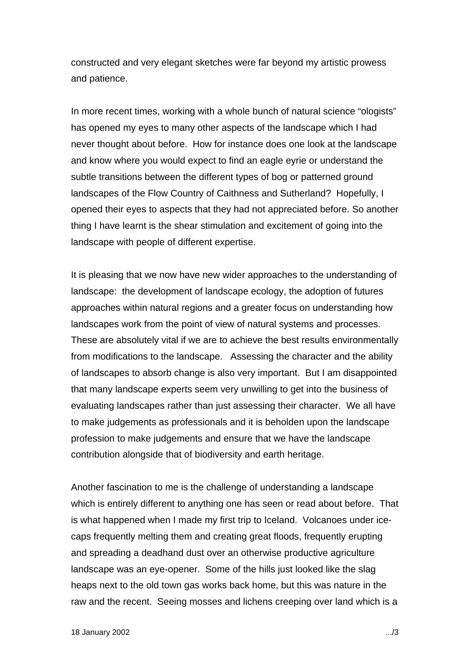constructed and very elegant sketches were far beyond my artistic prowess and patience.

In more recent times, working with a whole bunch of natural science "ologists" has opened my eyes to many other aspects of the landscape which I had never thought about before. How for instance does one look at the landscape and know where you would expect to find an eagle eyrie or understand the subtle transitions between the different types of bog or patterned ground landscapes of the Flow Country of Caithness and Sutherland? Hopefully, I opened their eyes to aspects that they had not appreciated before. So another thing I have learnt is the shear stimulation and excitement of going into the landscape with people of different expertise.

It is pleasing that we now have new wider approaches to the understanding of landscape: the development of landscape ecology, the adoption of futures approaches within natural regions and a greater focus on understanding how landscapes work from the point of view of natural systems and processes. These are absolutely vital if we are to achieve the best results environmentally from modifications to the landscape. Assessing the character and the ability of landscapes to absorb change is also very important. But I am disappointed that many landscape experts seem very unwilling to get into the business of evaluating landscapes rather than just assessing their character. We all have to make judgements as professionals and it is beholden upon the landscape profession to make judgements and ensure that we have the landscape contribution alongside that of biodiversity and earth heritage.

Another fascination to me is the challenge of understanding a landscape which is entirely different to anything one has seen or read about before. That is what happened when I made my first trip to Iceland. Volcanoes under icecaps frequently melting them and creating great floods, frequently erupting and spreading a deadhand dust over an otherwise productive agriculture landscape was an eye-opener. Some of the hills just looked like the slag heaps next to the old town gas works back home, but this was nature in the raw and the recent. Seeing mosses and lichens creeping over land which is a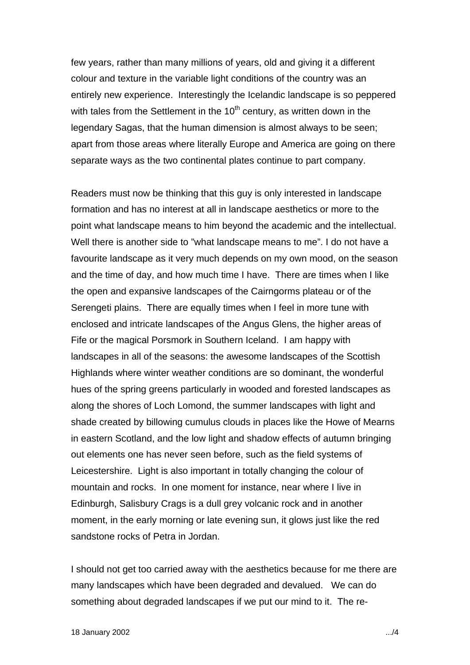few years, rather than many millions of years, old and giving it a different colour and texture in the variable light conditions of the country was an entirely new experience. Interestingly the Icelandic landscape is so peppered with tales from the Settlement in the  $10<sup>th</sup>$  century, as written down in the legendary Sagas, that the human dimension is almost always to be seen; apart from those areas where literally Europe and America are going on there separate ways as the two continental plates continue to part company.

Readers must now be thinking that this guy is only interested in landscape formation and has no interest at all in landscape aesthetics or more to the point what landscape means to him beyond the academic and the intellectual. Well there is another side to "what landscape means to me". I do not have a favourite landscape as it very much depends on my own mood, on the season and the time of day, and how much time I have. There are times when I like the open and expansive landscapes of the Cairngorms plateau or of the Serengeti plains. There are equally times when I feel in more tune with enclosed and intricate landscapes of the Angus Glens, the higher areas of Fife or the magical Porsmork in Southern Iceland. I am happy with landscapes in all of the seasons: the awesome landscapes of the Scottish Highlands where winter weather conditions are so dominant, the wonderful hues of the spring greens particularly in wooded and forested landscapes as along the shores of Loch Lomond, the summer landscapes with light and shade created by billowing cumulus clouds in places like the Howe of Mearns in eastern Scotland, and the low light and shadow effects of autumn bringing out elements one has never seen before, such as the field systems of Leicestershire. Light is also important in totally changing the colour of mountain and rocks. In one moment for instance, near where I live in Edinburgh, Salisbury Crags is a dull grey volcanic rock and in another moment, in the early morning or late evening sun, it glows just like the red sandstone rocks of Petra in Jordan.

I should not get too carried away with the aesthetics because for me there are many landscapes which have been degraded and devalued. We can do something about degraded landscapes if we put our mind to it. The re-